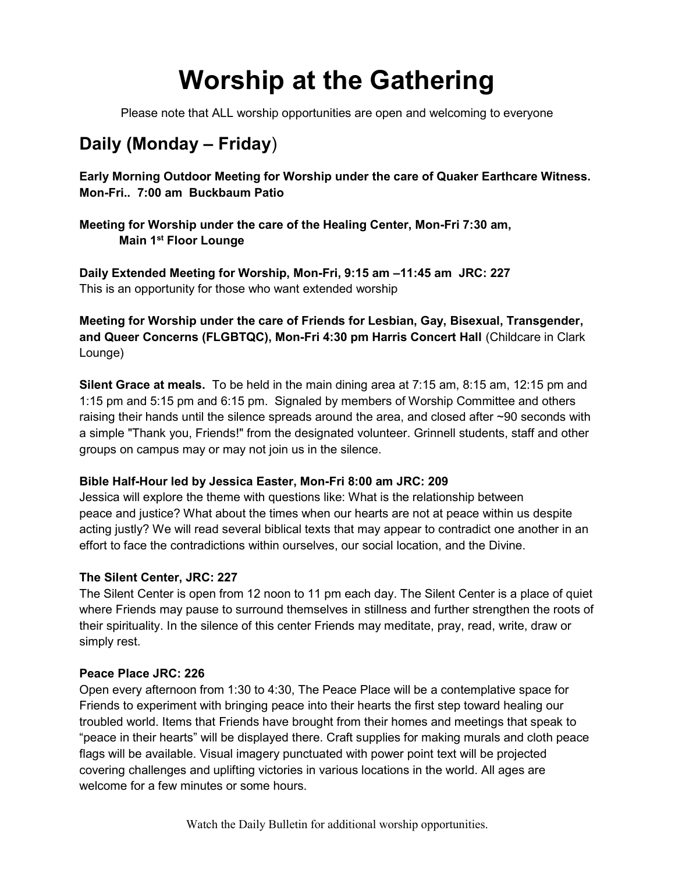# Worship at the Gathering

Please note that ALL worship opportunities are open and welcoming to everyone

### Daily (Monday – Friday)

Early Morning Outdoor Meeting for Worship under the care of Quaker Earthcare Witness. Mon-Fri.. 7:00 am Buckbaum Patio

Meeting for Worship under the care of the Healing Center, Mon-Fri 7:30 am, Main 1<sup>st</sup> Floor Lounge

Daily Extended Meeting for Worship, Mon-Fri, 9:15 am –11:45 am JRC: 227 This is an opportunity for those who want extended worship

Meeting for Worship under the care of Friends for Lesbian, Gay, Bisexual, Transgender, and Queer Concerns (FLGBTQC), Mon-Fri 4:30 pm Harris Concert Hall (Childcare in Clark Lounge)

Silent Grace at meals. To be held in the main dining area at 7:15 am, 8:15 am, 12:15 pm and 1:15 pm and 5:15 pm and 6:15 pm. Signaled by members of Worship Committee and others raising their hands until the silence spreads around the area, and closed after ~90 seconds with a simple "Thank you, Friends!" from the designated volunteer. Grinnell students, staff and other groups on campus may or may not join us in the silence.

### Bible Half-Hour led by Jessica Easter, Mon-Fri 8:00 am JRC: 209

Jessica will explore the theme with questions like: What is the relationship between peace and justice? What about the times when our hearts are not at peace within us despite acting justly? We will read several biblical texts that may appear to contradict one another in an effort to face the contradictions within ourselves, our social location, and the Divine.

### The Silent Center, JRC: 227

The Silent Center is open from 12 noon to 11 pm each day. The Silent Center is a place of quiet where Friends may pause to surround themselves in stillness and further strengthen the roots of their spirituality. In the silence of this center Friends may meditate, pray, read, write, draw or simply rest.

### Peace Place JRC: 226

Open every afternoon from 1:30 to 4:30, The Peace Place will be a contemplative space for Friends to experiment with bringing peace into their hearts the first step toward healing our troubled world. Items that Friends have brought from their homes and meetings that speak to "peace in their hearts" will be displayed there. Craft supplies for making murals and cloth peace flags will be available. Visual imagery punctuated with power point text will be projected covering challenges and uplifting victories in various locations in the world. All ages are welcome for a few minutes or some hours.